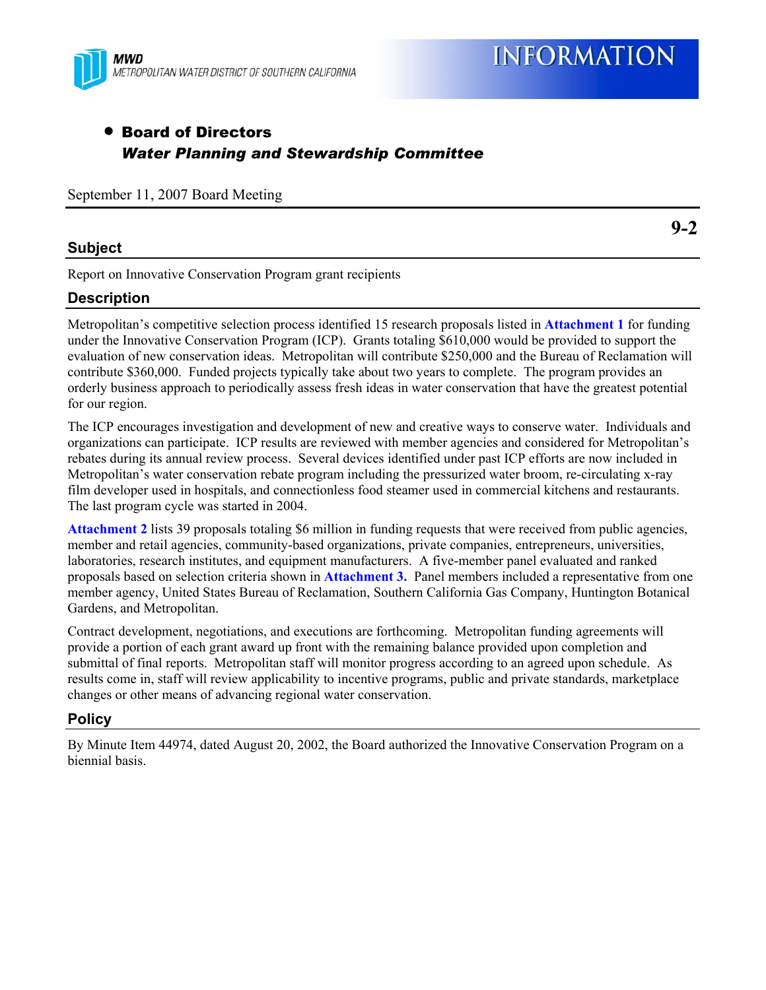

### • Board of Directors *Water Planning and Stewardship Committee*

September 11, 2007 Board Meeting

#### **Subject**

Report on Innovative Conservation Program grant recipients

### **Description**

Metropolitan's competitive selection process identified 15 research proposals listed in **Attachment 1** for funding under the Innovative Conservation Program (ICP). Grants totaling \$610,000 would be provided to support the evaluation of new conservation ideas. Metropolitan will contribute \$250,000 and the Bureau of Reclamation will contribute \$360,000. Funded projects typically take about two years to complete. The program provides an orderly business approach to periodically assess fresh ideas in water conservation that have the greatest potential for our region.

The ICP encourages investigation and development of new and creative ways to conserve water. Individuals and organizations can participate. ICP results are reviewed with member agencies and considered for Metropolitan's rebates during its annual review process. Several devices identified under past ICP efforts are now included in Metropolitan's water conservation rebate program including the pressurized water broom, re-circulating x-ray film developer used in hospitals, and connectionless food steamer used in commercial kitchens and restaurants. The last program cycle was started in 2004.

**Attachment 2** lists 39 proposals totaling \$6 million in funding requests that were received from public agencies, member and retail agencies, community-based organizations, private companies, entrepreneurs, universities, laboratories, research institutes, and equipment manufacturers. A five-member panel evaluated and ranked proposals based on selection criteria shown in **Attachment 3.** Panel members included a representative from one member agency, United States Bureau of Reclamation, Southern California Gas Company, Huntington Botanical Gardens, and Metropolitan.

Contract development, negotiations, and executions are forthcoming. Metropolitan funding agreements will provide a portion of each grant award up front with the remaining balance provided upon completion and submittal of final reports. Metropolitan staff will monitor progress according to an agreed upon schedule. As results come in, staff will review applicability to incentive programs, public and private standards, marketplace changes or other means of advancing regional water conservation.

### **Policy**

By Minute Item 44974, dated August 20, 2002, the Board authorized the Innovative Conservation Program on a biennial basis.

**9-2**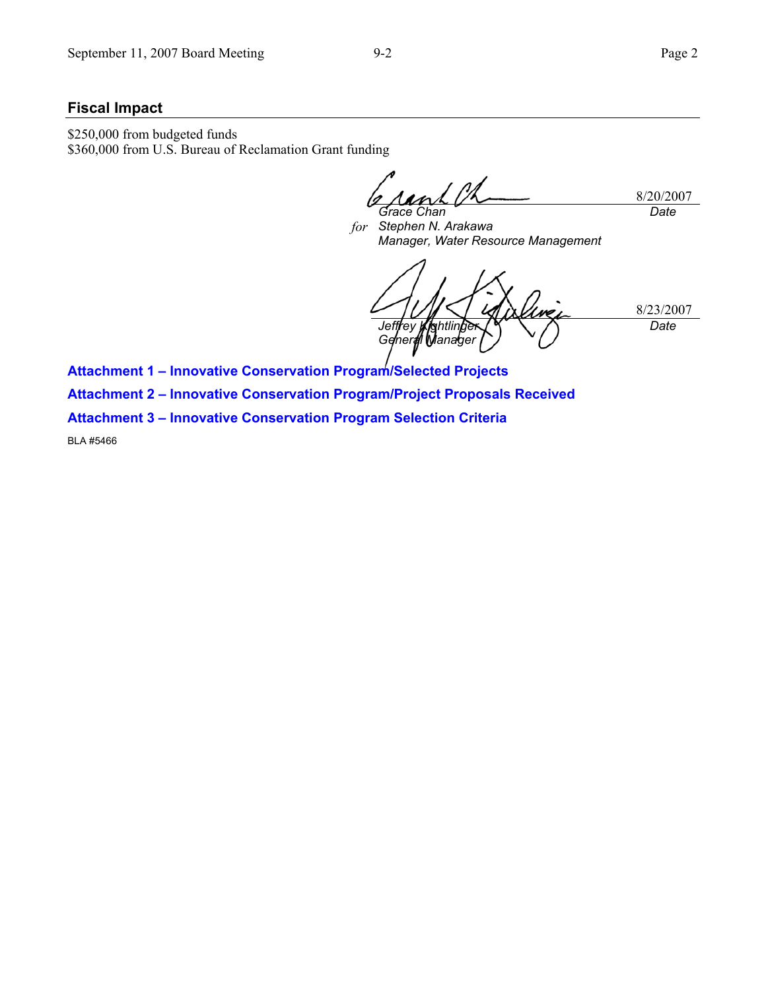#### **Fiscal Impact**

\$250,000 from budgeted funds \$360,000 from U.S. Bureau of Reclamation Grant funding

8/20/2007 *Grace Chan Date* 

*for Stephen N. Arakawa Manager, Water Resource Management* 

8/23/2007 *Jeffrey Kightlinger General Manager Date* 

**Attachment 1 – Innovative Conservation Program/Selected Projects Attachment 2 – Innovative Conservation Program/Project Proposals Received Attachment 3 – Innovative Conservation Program Selection Criteria** 

BLA #5466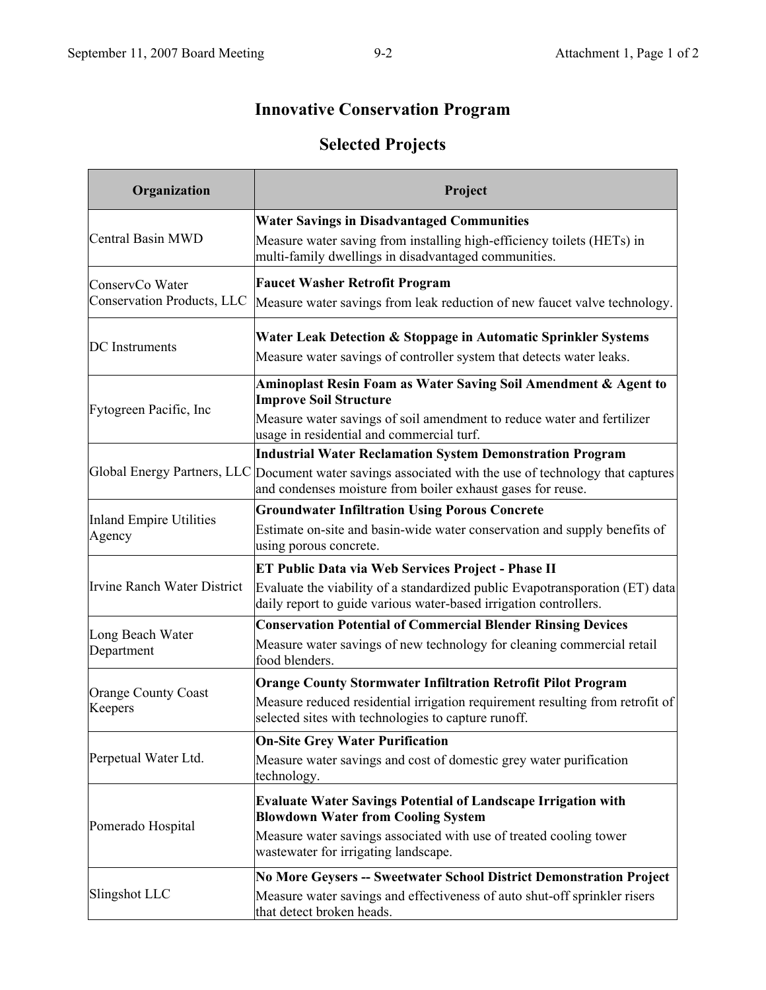## **Innovative Conservation Program**

## **Selected Projects**

| Organization                          | Project                                                                                                                                                               |
|---------------------------------------|-----------------------------------------------------------------------------------------------------------------------------------------------------------------------|
|                                       | <b>Water Savings in Disadvantaged Communities</b>                                                                                                                     |
| Central Basin MWD                     | Measure water saving from installing high-efficiency toilets (HETs) in<br>multi-family dwellings in disadvantaged communities.                                        |
| ConservCo Water                       | <b>Faucet Washer Retrofit Program</b>                                                                                                                                 |
| Conservation Products, LLC            | Measure water savings from leak reduction of new faucet valve technology.                                                                                             |
|                                       | Water Leak Detection & Stoppage in Automatic Sprinkler Systems                                                                                                        |
| <b>DC</b> Instruments                 | Measure water savings of controller system that detects water leaks.                                                                                                  |
|                                       | Aminoplast Resin Foam as Water Saving Soil Amendment & Agent to<br><b>Improve Soil Structure</b>                                                                      |
| Fytogreen Pacific, Inc                | Measure water savings of soil amendment to reduce water and fertilizer<br>usage in residential and commercial turf.                                                   |
|                                       | <b>Industrial Water Reclamation System Demonstration Program</b>                                                                                                      |
|                                       | Global Energy Partners, LLC Document water savings associated with the use of technology that captures<br>and condenses moisture from boiler exhaust gases for reuse. |
| <b>Inland Empire Utilities</b>        | <b>Groundwater Infiltration Using Porous Concrete</b>                                                                                                                 |
| Agency                                | Estimate on-site and basin-wide water conservation and supply benefits of<br>using porous concrete.                                                                   |
|                                       | <b>ET Public Data via Web Services Project - Phase II</b>                                                                                                             |
| <b>Irvine Ranch Water District</b>    | Evaluate the viability of a standardized public Evapotransporation (ET) data<br>daily report to guide various water-based irrigation controllers.                     |
|                                       | <b>Conservation Potential of Commercial Blender Rinsing Devices</b>                                                                                                   |
| Long Beach Water<br>Department        | Measure water savings of new technology for cleaning commercial retail<br>food blenders.                                                                              |
|                                       | <b>Orange County Stormwater Infiltration Retrofit Pilot Program</b>                                                                                                   |
| <b>Orange County Coast</b><br>Keepers | Measure reduced residential irrigation requirement resulting from retrofit of<br>selected sites with technologies to capture runoff.                                  |
|                                       | <b>On-Site Grey Water Purification</b>                                                                                                                                |
| Perpetual Water Ltd.                  | Measure water savings and cost of domestic grey water purification<br>technology.                                                                                     |
| Pomerado Hospital                     | <b>Evaluate Water Savings Potential of Landscape Irrigation with</b><br><b>Blowdown Water from Cooling System</b>                                                     |
|                                       | Measure water savings associated with use of treated cooling tower<br>wastewater for irrigating landscape.                                                            |
|                                       | No More Geysers -- Sweetwater School District Demonstration Project                                                                                                   |
| Slingshot LLC                         | Measure water savings and effectiveness of auto shut-off sprinkler risers<br>that detect broken heads.                                                                |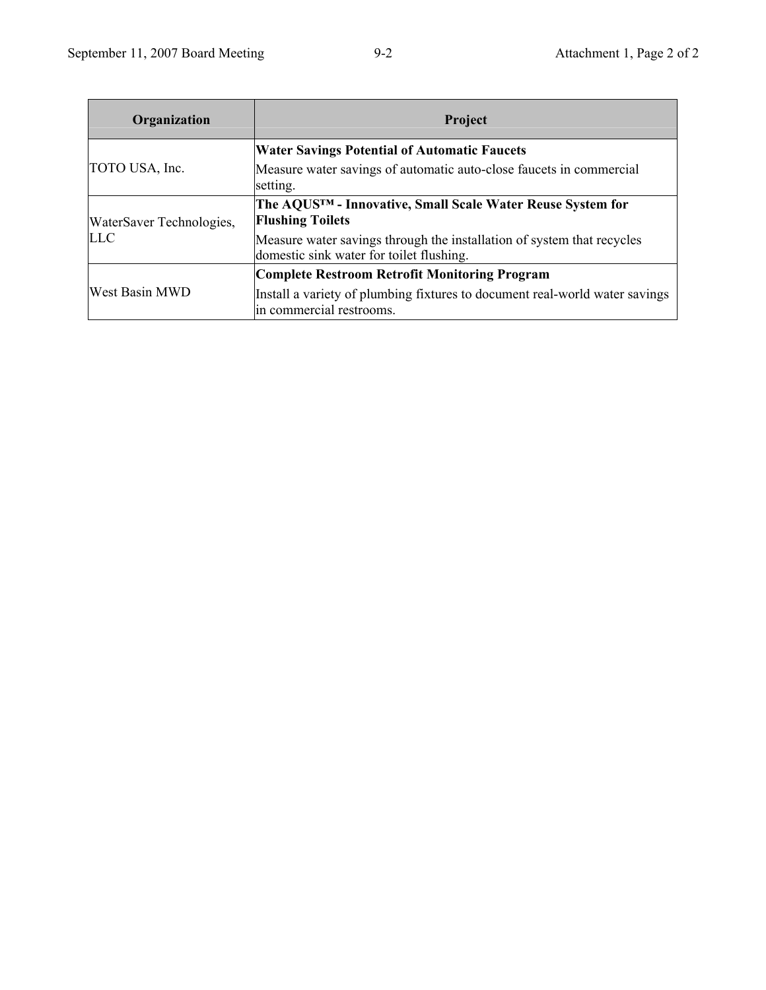| Organization             | Project                                                                                                            |
|--------------------------|--------------------------------------------------------------------------------------------------------------------|
|                          | <b>Water Savings Potential of Automatic Faucets</b>                                                                |
| TOTO USA, Inc.           | Measure water savings of automatic auto-close faucets in commercial<br>setting.                                    |
| WaterSaver Technologies, | The AQUSTM - Innovative, Small Scale Water Reuse System for<br><b>Flushing Toilets</b>                             |
| <b>LLC</b>               | Measure water savings through the installation of system that recycles<br>domestic sink water for toilet flushing. |
| <b>West Basin MWD</b>    | Complete Restroom Retrofit Monitoring Program                                                                      |
|                          | Install a variety of plumbing fixtures to document real-world water savings<br>in commercial restrooms.            |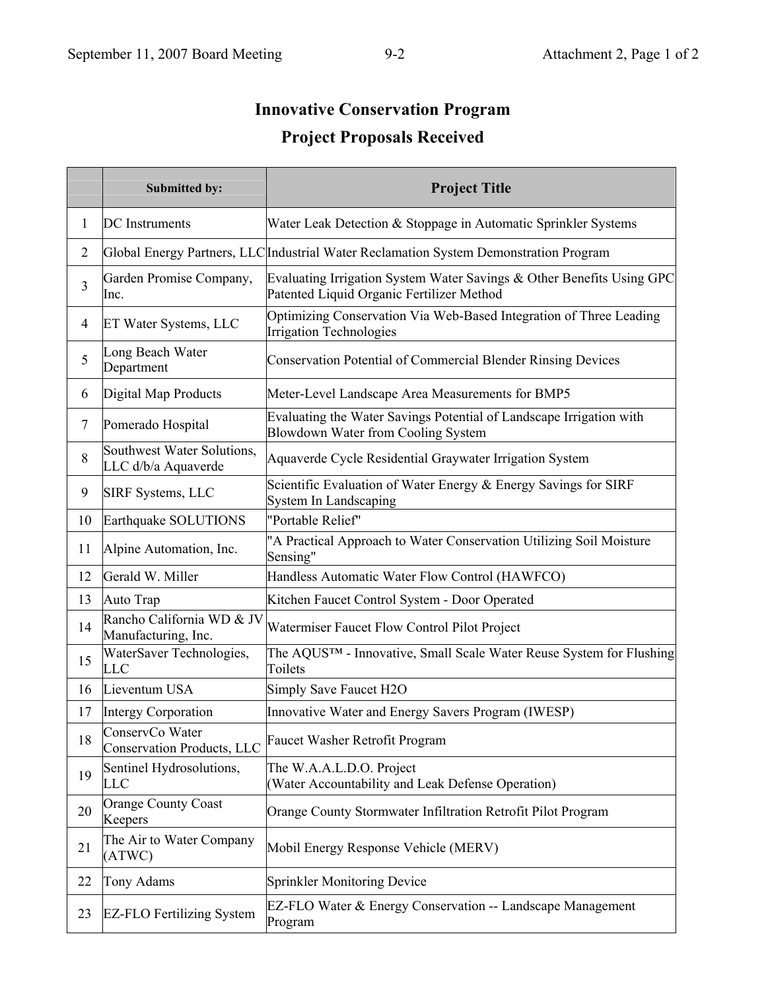# **Innovative Conservation Program Project Proposals Received**

|                | <b>Submitted by:</b>                                 | <b>Project Title</b>                                                                                               |
|----------------|------------------------------------------------------|--------------------------------------------------------------------------------------------------------------------|
| 1              | <b>DC</b> Instruments                                | Water Leak Detection & Stoppage in Automatic Sprinkler Systems                                                     |
| $\overline{2}$ |                                                      | Global Energy Partners, LLC Industrial Water Reclamation System Demonstration Program                              |
| 3              | Garden Promise Company,<br>Inc.                      | Evaluating Irrigation System Water Savings & Other Benefits Using GPC<br>Patented Liquid Organic Fertilizer Method |
| 4              | ET Water Systems, LLC                                | Optimizing Conservation Via Web-Based Integration of Three Leading<br><b>Irrigation Technologies</b>               |
| 5              | Long Beach Water<br>Department                       | <b>Conservation Potential of Commercial Blender Rinsing Devices</b>                                                |
| 6              | Digital Map Products                                 | Meter-Level Landscape Area Measurements for BMP5                                                                   |
| 7              | Pomerado Hospital                                    | Evaluating the Water Savings Potential of Landscape Irrigation with<br>Blowdown Water from Cooling System          |
| 8              | Southwest Water Solutions,<br>LLC d/b/a Aquaverde    | Aquaverde Cycle Residential Graywater Irrigation System                                                            |
| 9              | <b>SIRF Systems, LLC</b>                             | Scientific Evaluation of Water Energy & Energy Savings for SIRF<br><b>System In Landscaping</b>                    |
| 10             | Earthquake SOLUTIONS                                 | "Portable Relief"                                                                                                  |
| 11             | Alpine Automation, Inc.                              | "A Practical Approach to Water Conservation Utilizing Soil Moisture<br>Sensing"                                    |
| 12             | Gerald W. Miller                                     | Handless Automatic Water Flow Control (HAWFCO)                                                                     |
| 13             | Auto Trap                                            | Kitchen Faucet Control System - Door Operated                                                                      |
| 14             | Rancho California WD & JV<br>Manufacturing, Inc.     | Watermiser Faucet Flow Control Pilot Project                                                                       |
| 15             | WaterSaver Technologies,<br>LLC                      | The AQUS™ - Innovative, Small Scale Water Reuse System for Flushing<br>Toilets                                     |
| 16             | Lieventum USA                                        | Simply Save Faucet H2O                                                                                             |
| 17             | <b>Intergy Corporation</b>                           | Innovative Water and Energy Savers Program (IWESP)                                                                 |
| 18             | ConservCo Water<br><b>Conservation Products, LLC</b> | <b>Faucet Washer Retrofit Program</b>                                                                              |
| 19             | Sentinel Hydrosolutions,<br>LLC                      | The W.A.A.L.D.O. Project<br>Water Accountability and Leak Defense Operation)                                       |
| 20             | <b>Orange County Coast</b><br>Keepers                | Orange County Stormwater Infiltration Retrofit Pilot Program                                                       |
| 21             | The Air to Water Company<br>(ATWC)                   | Mobil Energy Response Vehicle (MERV)                                                                               |
| 22             | Tony Adams                                           | <b>Sprinkler Monitoring Device</b>                                                                                 |
| 23             | <b>EZ-FLO Fertilizing System</b>                     | EZ-FLO Water & Energy Conservation -- Landscape Management<br>Program                                              |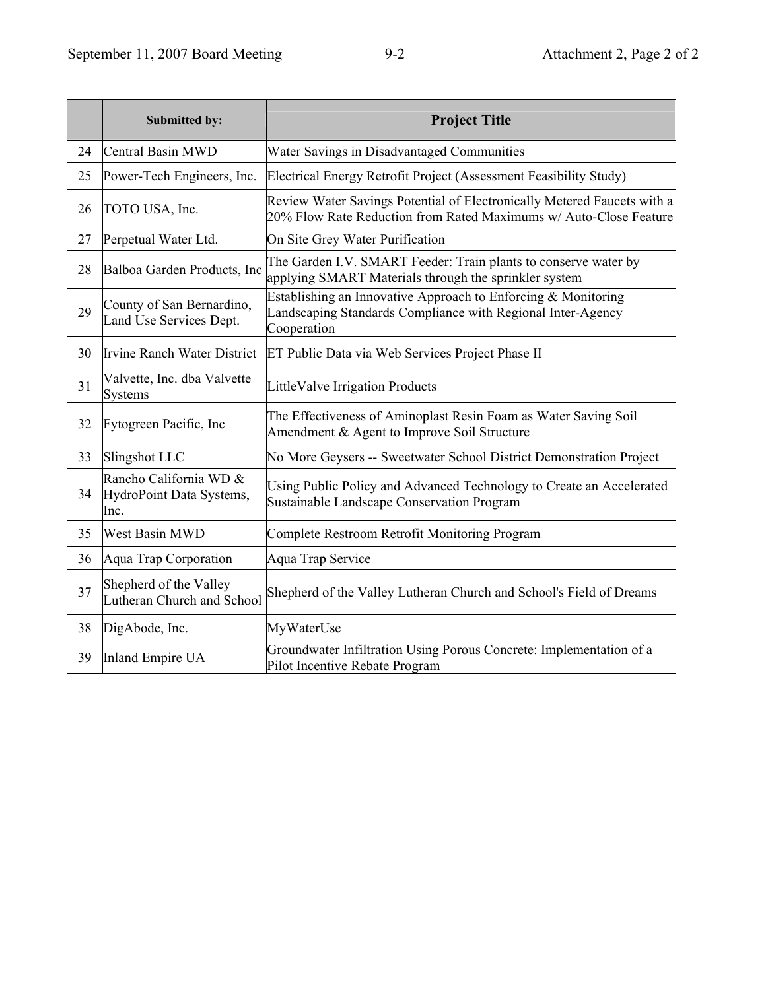|    | Submitted by:                                              | <b>Project Title</b>                                                                                                                         |
|----|------------------------------------------------------------|----------------------------------------------------------------------------------------------------------------------------------------------|
| 24 | Central Basin MWD                                          | Water Savings in Disadvantaged Communities                                                                                                   |
| 25 | Power-Tech Engineers, Inc.                                 | Electrical Energy Retrofit Project (Assessment Feasibility Study)                                                                            |
| 26 | TOTO USA, Inc.                                             | Review Water Savings Potential of Electronically Metered Faucets with a<br>20% Flow Rate Reduction from Rated Maximums w/ Auto-Close Feature |
| 27 | Perpetual Water Ltd.                                       | On Site Grey Water Purification                                                                                                              |
| 28 | Balboa Garden Products, Inc                                | The Garden I.V. SMART Feeder: Train plants to conserve water by<br>applying SMART Materials through the sprinkler system                     |
| 29 | County of San Bernardino,<br>Land Use Services Dept.       | Establishing an Innovative Approach to Enforcing & Monitoring<br>Landscaping Standards Compliance with Regional Inter-Agency<br>Cooperation  |
| 30 | <b>Irvine Ranch Water District</b>                         | ET Public Data via Web Services Project Phase II                                                                                             |
| 31 | Valvette, Inc. dba Valvette<br><b>Systems</b>              | LittleValve Irrigation Products                                                                                                              |
| 32 | Fytogreen Pacific, Inc.                                    | The Effectiveness of Aminoplast Resin Foam as Water Saving Soil<br>Amendment & Agent to Improve Soil Structure                               |
| 33 | Slingshot LLC                                              | No More Geysers -- Sweetwater School District Demonstration Project                                                                          |
| 34 | Rancho California WD &<br>HydroPoint Data Systems,<br>Inc. | Using Public Policy and Advanced Technology to Create an Accelerated<br>Sustainable Landscape Conservation Program                           |
| 35 | <b>West Basin MWD</b>                                      | Complete Restroom Retrofit Monitoring Program                                                                                                |
| 36 | Aqua Trap Corporation                                      | Aqua Trap Service                                                                                                                            |
| 37 | Shepherd of the Valley<br>Lutheran Church and School       | Shepherd of the Valley Lutheran Church and School's Field of Dreams                                                                          |
| 38 | DigAbode, Inc.                                             | MyWaterUse                                                                                                                                   |
| 39 | Inland Empire UA                                           | Groundwater Infiltration Using Porous Concrete: Implementation of a<br>Pilot Incentive Rebate Program                                        |